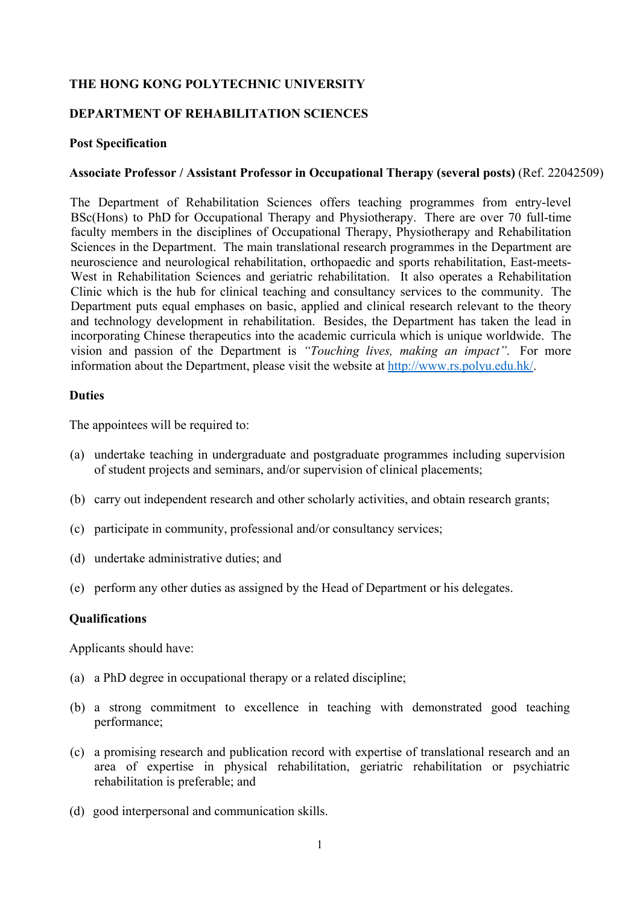## **THE HONG KONG POLYTECHNIC UNIVERSITY**

## **DEPARTMENT OF REHABILITATION SCIENCES**

#### **Post Specification**

### **Associate Professor / Assistant Professor in Occupational Therapy (several posts)** (Ref. 22042509)

The Department of Rehabilitation Sciences offers teaching programmes from entry-level BSc(Hons) to PhD for Occupational Therapy and Physiotherapy. There are over 70 full-time faculty members in the disciplines of Occupational Therapy, Physiotherapy and Rehabilitation Sciences in the Department. The main translational research programmes in the Department are neuroscience and neurological rehabilitation, orthopaedic and sports rehabilitation, East-meets-West in Rehabilitation Sciences and geriatric rehabilitation. It also operates a Rehabilitation Clinic which is the hub for clinical teaching and consultancy services to the community. The Department puts equal emphases on basic, applied and clinical research relevant to the theory and technology development in rehabilitation. Besides, the Department has taken the lead in incorporating Chinese therapeutics into the academic curricula which is unique worldwide. The vision and passion of the Department is *"Touching lives, making an impact"*. For more information about the Department, please visit the website at http://www.rs.polyu.edu.hk/.

#### **Duties**

The appointees will be required to:

- (a) undertake teaching in undergraduate and postgraduate programmes including supervision of student projects and seminars, and/or supervision of clinical placements;
- (b) carry out independent research and other scholarly activities, and obtain research grants;
- (c) participate in community, professional and/or consultancy services;
- (d) undertake administrative duties; and
- (e) perform any other duties as assigned by the Head of Department or his delegates.

## **Qualifications**

Applicants should have:

- (a) a PhD degree in occupational therapy or a related discipline;
- (b) a strong commitment to excellence in teaching with demonstrated good teaching performance;
- (c) a promising research and publication record with expertise of translational research and an area of expertise in physical rehabilitation, geriatric rehabilitation or psychiatric rehabilitation is preferable; and
- (d) good interpersonal and communication skills.